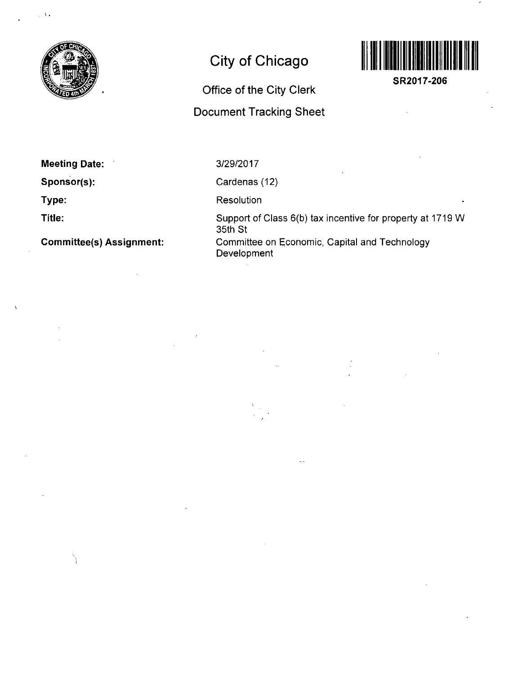

 $\frac{1}{2}$  A  $\frac{1}{2}$ 

# **City of Chicago**

## **Office of the City Clerk**

## **Document Tracking Sheet**



**SR2017-206** 

**Meeting Date:** 

**Sponsor(s):** 

**Type:** 

**Title:** 

**Committee(s) Assignment:** 

3/29/2017

Cardenas (12)

**Resolution** 

Support of Class 6(b) tax incentive for property at 1719 W 35th St Committee on Economic, Capital and Technology Development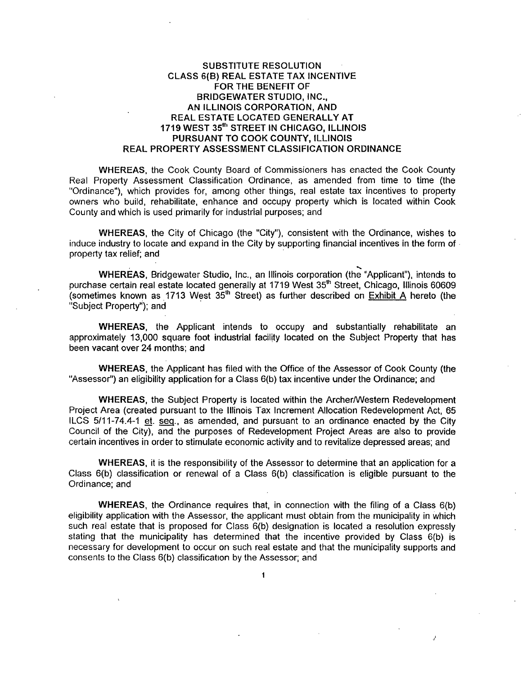#### SUBSTITUTE RESOLUTION CLASS 6{B) REAL ESTATE TAX INCENTIVE FORTHE BENEFIT OF BRIDGEWATER STUDIO, INC., AN ILLINOIS CORPORATION, AND REAL ESTATE LOCATED GENERALLY AT 1719 WEST 35"' STREET IN CHICAGO, ILLINOIS PURSUANT TO COOK COUNTY, ILLINOIS REAL PROPERTY ASSESSMENT CLASSIFICATION ORDINANCE

WHEREAS, the Cook County Board of Commissioners has enacted the Cook County Real Property Assessment Classification Ordinance, as amended from time to time (the "Ordinance"), which provides for, among other things, real estate tax Incentives to property owners who build, rehabilitate, enhance and occupy property which is located within Cook County and which is used primarily for industrial purposes; and

WHEREAS, the City of Chicago (the "City"), consistent with the Ordinance, wishes to induce industry to locate and expand in the City by supporting financial incentives in the form of property tax relief; and

\*^ WHEREAS, Bridgewater Studio, Inc., an Illinois corporation (the "Applicant"), intends to purchase certain real estate located generally at 1719 West 35<sup>th</sup> Street, Chicago, Illinois 60609 (sometimes known as 1713 West  $35<sup>th</sup>$  Street) as further described on Exhibit A hereto (the "Subject Property"); and

WHEREAS, the Applicant intends to occupy and substantially rehabilitate an approximately 13,000 square foot industrial facility located on the Subject Property that has been vacant over 24 months; and

WHEREAS, the Applicant has filed with the Office of the Assessor of Cook County (the "Assessor") an eligibility application for a Class 6(b) tax incentive under the Ordinance; and

WHEREAS, the Subject Property is located within the Archer/Western Redevelopment Project Area (created pursuant to the Illinois Tax Increment Allocation Redevelopment Act, 65 ILCS 5/11-74.4-1 et. seq.. as amended, and pursuant to an ordinance enacted by the City Council of the City), and the purposes of Redevelopment Project Areas are also to provide certain incentives in order to stimulate economic activity and to revitalize depressed areas; and

WHEREAS, it is the responsibility of the Assessor to determine that an application for a Class 6(b) classification or renewal of a Class 6(b) classification is eligible pursuant to the Ordinance; and

WHEREAS, the Ordinance requires that, in connection with the filing of a Class 6(b) eligibility application with the Assessor, the applicant must obtain from the municipality in which such real estate that is proposed for Class 6(b) designation is located a resolution expressly stating that the municipality has determined that the incentive provided by Class 6(b) is necessary for development to occur on such real estate and that the municipality supports and consents to the Class 6(b) classification by the Assessor; and

**1** 

 $\overline{\phantom{a}}$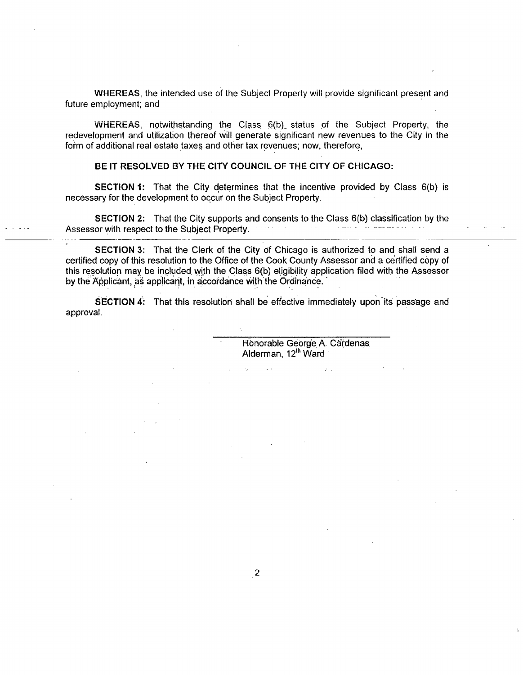WHEREAS, the intended use of the Subject Property will provide significant present and future employment; and

WHEREAS, notwithstanding the Class 6(b) status of the Subject Property, the redevelopment and utilization thereof will generate significant new revenues to the City in the form of additional real estate taxes and other tax revenues; now, therefore,

#### **BE IT RESOLVED BY THE CITY COUNCIL OF THE CITY OF CHICAGO:**

SECTION 1: That the City determines that the incentive provided by Class 6(b) is necessary for the development to occur on the Subject Property.

SECTION 2: That the City supports and consents to the Class 6(b) classification by the Assessor with respect to the Subject Property.

SECTION 3: That the Clerk of the City of Chicago is authorized to and shall send a certified copy of this resolution to the Office of the Cook County Assessor and a certified copy of this resolution may be included with the Class 6(b) eligibility application filed with the Assessor by the Applicant, as applicant, in accordance with the Ordinance.'

SECTION 4: That this resolution shall be effective immediately upon its passage and approval.

 $\hat{L}(\hat{r})$ 

Honorable George A. Cardenas Alderman, 12<sup>th</sup> Ward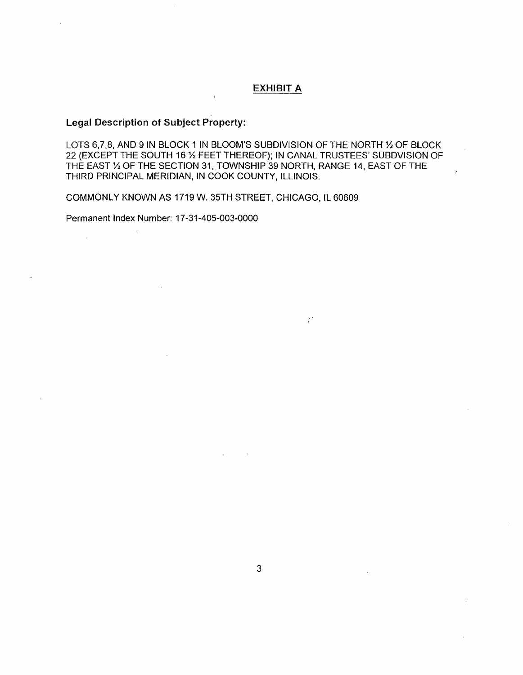#### **EXHIBIT A**

 $\int$ 

## **Legal Description of Subject Property:**

LOTS 6,7,8, AND 9 IN BLOCK 1 IN BLOOM'S SUBDIVISION OF THE NORTH 1/2 OF BLOCK 22 (EXCEPT THE SOUTH 16 % FEET THEREOF); IN CANAL TRUSTEES' SUBDVISION OF THE EAST % OF THE SECTION 31, TOWNSHIP 39 NORTH, RANGE 14, EAST OF THE THIRD PRINCIPAL MERIDIAN, IN COOK COUNTY, ILLINOIS.

COMMONLY KNOWN AS 1719 W. 35TH STREET, CHICAGO, IL 60609

Permanent Index Number: 17-31-405-003-0000

 $\ddot{\phantom{a}}$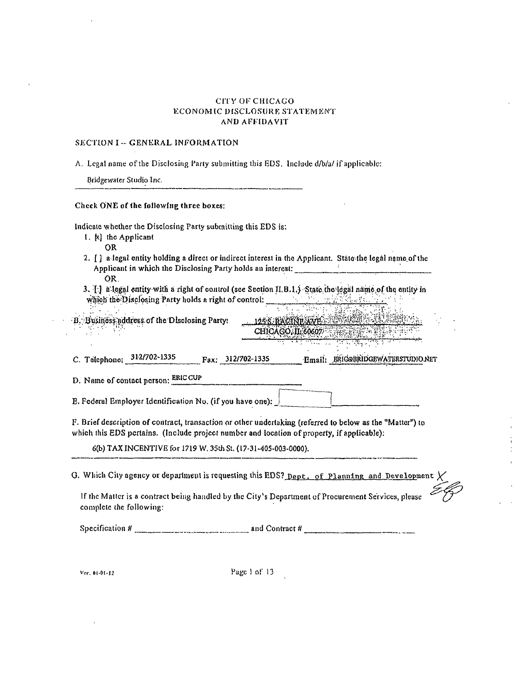#### CITY OF CHICAGO ECONOMIC DISCLOSURE STATEMENT AND AFFIDAVIT

 $\ddot{\phantom{a}}$ 

 $\bar{i}$ 

 $\frac{1}{2}$  $\overline{a}$ 

 $\mathcal{L}_{\mathcal{A}}$ 

## SECTION I -- GENERAL INFORMATION

 $\bar{z}$ 

 $\hat{\mathbf{v}}$ 

| Check ONE of the following three boxes:                       |                                                                                                                                                                                                         |
|---------------------------------------------------------------|---------------------------------------------------------------------------------------------------------------------------------------------------------------------------------------------------------|
| Indicate whether the Disclosing Party submitting this EDS is: |                                                                                                                                                                                                         |
| 1. [x] the Applicant<br>OR                                    |                                                                                                                                                                                                         |
| OR.                                                           | 2. [ ] a legal entity holding a direct or indirect interest in the Applicant. State the legal name of the<br>Applicant in which the Disclosing Party holds an interest:                                 |
|                                                               | 3. $[\cdot]$ a legal entity with a right of control (see Section II.B.1.) State the legal name of the entity in<br>which the Disclosing Party holds a right of control:                                 |
| B. Business address of the Disclosing Party:                  | 125S.A&MARTH<br>CHICAGO, IL 60607<br><del>er til allmannsna</del>                                                                                                                                       |
| D. Name of contact person: ERIC CUP                           | C. Telephone: 312/702-1335 Fax: 312/702-1335 Email: ERICORRIDGEWATERSTUDIONET                                                                                                                           |
| E. Federal Employer Identification No. (if you have one):     |                                                                                                                                                                                                         |
|                                                               | F. Brief description of contract, transaction or other undertaking (referred to below as the "Matter") to<br>which this EDS pertains. (Include project number and location of property, if applicable): |
| 6(b) TAX INCENTIVE for 1719 W. 35th St. (17-31-405-003-0000). |                                                                                                                                                                                                         |
|                                                               | G. Which City agency or department is requesting this EDS? Dept. of Planning and Development $\chi$                                                                                                     |
|                                                               |                                                                                                                                                                                                         |

Ver. 01-01-12

 $\sim 10^{11}$ 

Page 1 of  $13$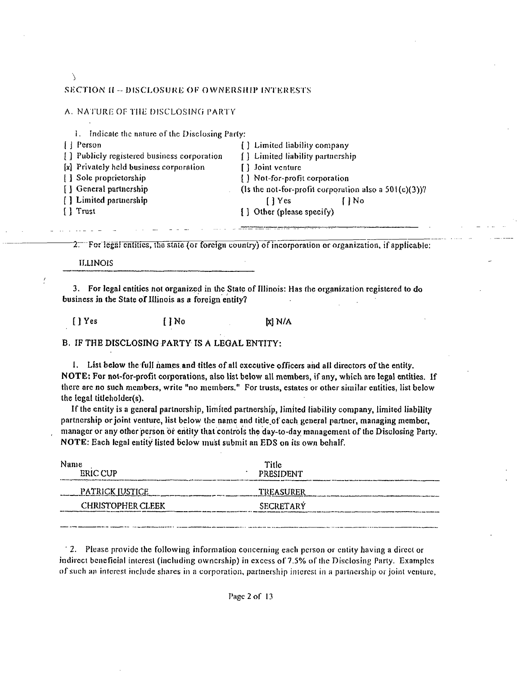### $\lambda$ SECTION II -- DISCLOSURE OF OWNERSHIP INTERESTS.

### A. NATURE OF THE DISCLOSING PARTY

| 1. Indicate the nature of the Disclosing Party: |                   |                                   |                                                          |
|-------------------------------------------------|-------------------|-----------------------------------|----------------------------------------------------------|
| $\left\{\right\}$ Person                        |                   | [ ] Limited liability company     |                                                          |
| [] Publicly registered business corporation     |                   | [ ] Limited liability partnership |                                                          |
| [x] Privately held business corporation         | [ ] Joint venture |                                   |                                                          |
| [ ] Sole proprietorship                         |                   | [] Not-for-profit corporation     |                                                          |
| [ ] General partnership                         |                   |                                   | (Is the not-for-profit corporation also a $501(c)(3)$ )? |
| [] Limited partnership                          | I l Yes           |                                   | l I No                                                   |
| [ ] Trust                                       |                   | [] Other (please specify)         |                                                          |
|                                                 |                   |                                   |                                                          |

For legal entities, the state (or foreign country) of incorporation or organization, if applicable:

ILLINOIS

3. For legal entities not organized in the State of Illinois: Has the organization registered to do business in the State of Illinois as a foreign entity?

 $[$  ] Yes  $[$  ] No  $[x]$  N/A

B. IF THE DISCLOSING PARTY IS A LEGAL ENTITY:

1. List below the full names and titles of all executive officers and all directors of the entity. NOTE: For not-for-profit corporations, also list below all members, if any, which are legal entities. If there are no such members, write "no members." For trusts, estates or other similar entities, list below the legal titleholder(s).

If the entity is a general parlnorship, limited partnership, limited liability company, limited liability partnership or joint venture, list below the name and title of cach general partner, managing member, manager or any other person or entity that controls the day-to-day management of the Disclosing Party. NOTE: Each legal entity listed below must submit an EDS on its own behalf.

| Name<br><b>ERIC CUP</b>  | Title<br><b>PRESIDENT</b> |  |
|--------------------------|---------------------------|--|
| <b>PATRICK JUSTICE</b>   | TREASURER                 |  |
| <b>CHRISTOPHER CLEEK</b> | SECRETARY                 |  |
|                          |                           |  |

' 2. Please provide the following informalion concerning each pci-son or entity having a direct or indirect beneficial interest (including ownership) in excess of 7.5% of the Disclosing Party. Examples of such an interest include shares in a corporation, partnership interest in a partnership or joint venture,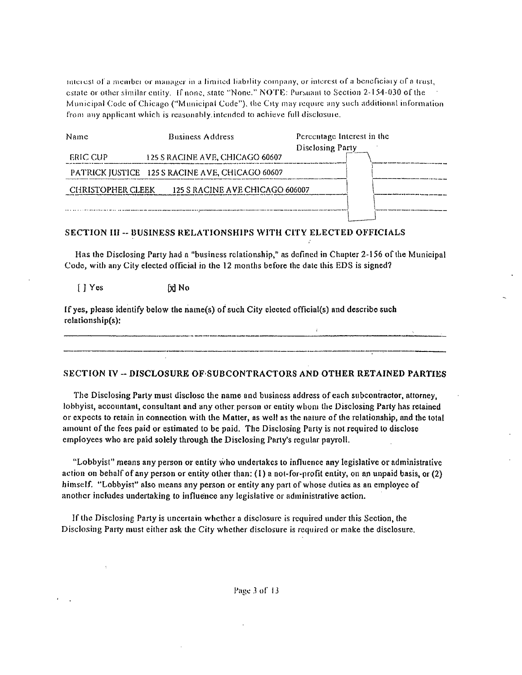interest of a member or manager in a limited liability company, or interest of a beneficiary of a trust, estate or other similar entity. If none, state "None," NOTE: Pursuant to Section 2-154-030 of the Municipal Code of Chicago ("Municipal Code"), the City may require any such additional information from any applicant which is reasonably intended to achieve full disclosure.

### SECTION III -- BUSINESS RELATIONSHIPS WITH CITY ELECTED OFFICIALS

Has the Disclosing Party had a "business relationship," as defined in Chapter 2-156 of the Municipal Code, with any City elected official in the 12 months before the date this EDS is signed?

 $[$   $]$   $Yes$ [x] No

If yes, please identify below the name(s) of such City elected official(s) and describe such relationship(s):

SECTION IV -- DISCLOSURE OF SUBCONTRACTORS AND OTHER RETAINED PARTIES

The Disclosing Party must disclose the name and business address of each subcontractor, attorney, lobbyist, accountant, consultant and any other person or entity whom the Disclosing Party has retained or expects to retain in connection with the Matter, as well as the nature of the relationship, and the total amount of the fees paid or estimated to be paid. The Disclosing Party is not required to disclose employees who are paid solely through the Disclosing Party's regular payroll.

"Lobbyist" means any person or entity who undertakes to influence any legislative or administrative action on behalf of any person or entity other than: (1) a not-for-profit entity, on an unpaid basis, or (2) himself. "Lobbyist" also means any person or entity any part of whose duties as an employee of another includes undertaking to influence any legislative or administrative action.

If the Disclosing Party is uncertain whether a disclosure is required under this Section, the Disclosing Party must either ask the City whether disclosure is required or make the disclosure.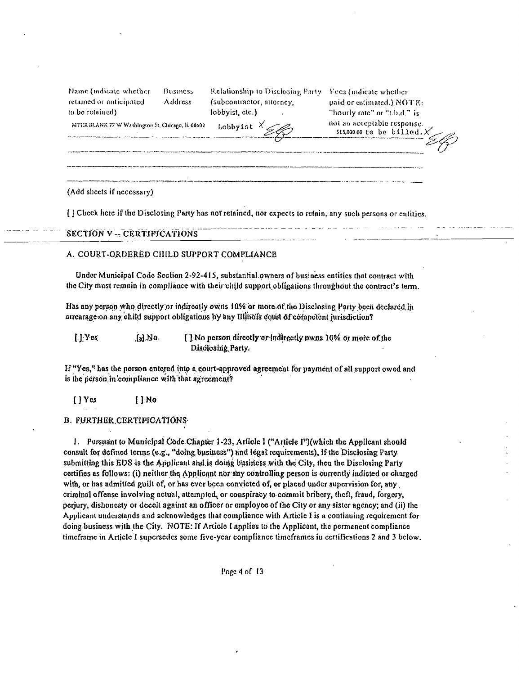| Name (indicate whether  | Busines |
|-------------------------|---------|
| retained or anticipated | Address |
| to be retained).        |         |

(subcontractor, attorney, lobbyist, etc.)

Lobbyist  $x'$ 

Relationship to Disclosing Party Fees (indicate whether paid or estimated.) NOTE: "hourly rate" or "t.b.d." is not an acceptable response. \$15,000.00 to be billed.

MYER BLANK 77 W Washington St. Chicago, II. 60602

(Add sheets if necessary)

[] Check here if the Disclosing Party has not retained, nor expects to retain, any such persons or entities.

#### SECTION V -- CERTIFICATIONS

#### A. COURT-ORDERED CHILD SUPPORT COMPLIANCE

Under Municipal Code Section 2-92-415, substantial owners of business entities that contract with the City must remain in compliance with their child support obligations throughout the contract's torm.

Has any person who directly or indirectly owns 10% or more of the Disclosing Party been declared in arrearage on any child support obligations by any Illinois court of compotent jurisdiction?

 $[$   $]$   $Y$   $e$  $s$ [] No person directly or indirectly owns 10% or more of the f.J.No. Disclosing Party.

If "Yes," has the person entered into a court-approved agreement for payment of all support owed and is the person in compliance with that agreement?

[ ] Yes  $1N<sub>0</sub>$ 

#### **B. FURTHER CERTIFICATIONS**

1. Pursuant to Municipal Code Chapter 1-23, Article I ("Article I")(which the Applicant should consult for defined terms (e.g., "doing business") and legal requirements), if the Disclosing Party submitting this EDS is the Applicant and is doing business with the City, then the Disclosing Party certifies as follows: (i) neither the Applicant nor any controlling person is currently indicted or charged with, or has admitted guilt of, or has ever been convicted of, or placed under supervision for, any criminal offense involving actual, attempted, or conspiracy to commit bribery, theft, fraud, forgery, perjury, dishonesty or deceit against an officer or employee of the City or any sister agency; and (ii) the Applicant understands and acknowledges that compliance with Article I is a continuing requirement for doing business with the City. NOTE: If Article I applies to the Applicant, the permanent compliance timeframe in Article I supersedes some five-year compliance timeframes in certifications 2 and 3 below.

Page 4 of 13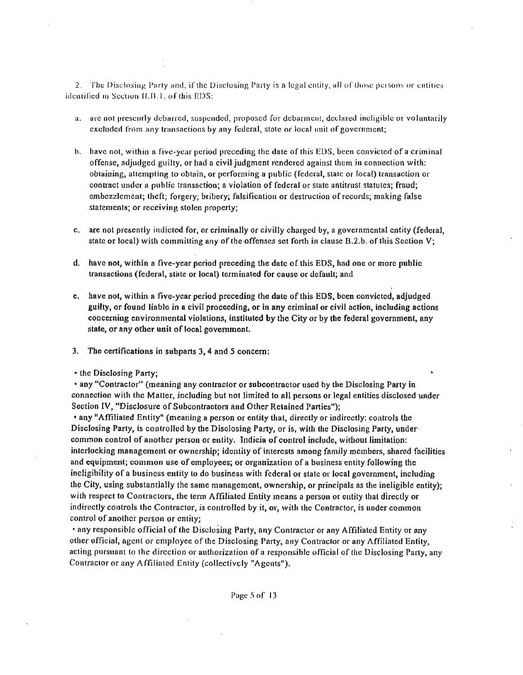2. The Disclosing Party and, if the Disclosing Party is a legal entity, all of those persons or entities identified in Section II.B.1, of this EDS:

- a. are not presently debarred, suspended, proposed for debarment, declared ineligible or voluntarily excluded from any transactions by any federal, state or local unil of government;
- b. have not, within a five-year period preceding the date of this EDS, been convicted of a criminal offense, adjudged guilty, orhad a civil judgment rendered against them in connection with: obtaining, attempting to obtain, or performing a public (federal, state or local) transaction or contract under a public transaction; a violation of federal or slale antitrust statutes; fraud; embezzlement; theft; forgery; bribery; falsification or destmction of records; making false statements; or receiving stolen properly;
- c. are nol presentiy indicted for, or criminally or civilly charged by, a governmental entity (federal, state or local) with committing any of the offenses set forth in clause  $B.2.b$ . of this Section V;
- d. have not, within a five-year period preceding the date of Ihis EDS, had one or more public transactions (federal, state or local) terminated for cause or default; and
- e. have not, within a five-year period preceding the date of this EDS, been convicted, adjudged guilty, or found liable in a civil proceeding, or in any criminal or civil action, including acdons concerning environmental violations, instituted by the City or by the federal govemment, any state, or any other unit of local government.
- 3. The certifications in subparts 3,4 and 5 concern;
- the Disclosing Party;

• any "Contractor" (meaning any contractor or subcontractor used by the Disclosing Party in connection with the Matter, including but not limited to all persons or legal entities disclosed under Section IV, "Disclosure of Subcontractors and Other Retained Parties");

• any "Affiliated Entity" (meaning a person or enlity that, directly or indirectly: controls the Disclosing Party, is controlled by the Disclosing Party, or is, with the Disclosing Party, under common control of another person or entity. Indicia of control include, without limitation: interlocking management or ownership; identity of interests among family members, shared facilities and equipment; common use of employees; or organization of a business entity following the ineligibility of a business entity to do business with federal or state or local government, including the City, using substantially the same management, ownership, or principals as the ineligible entity); with respect to Contractors, the term Affiliated Entity means a person or entity that directly or indirectly controls the Contractor, is controlled by it, or, with the Contractor, is under common control of another person or entity;

• any responsible official of the Disclosing Party, any Contractor or any Affiliated Entity or any other official, agent or employee of the Disclosing Party, any Contractor or any Affiliated Entity, acling pursuanl lo the direction or authorization of a responsible official of the Disclosing Party, any Contractor or any Affiliated Entity (collectively "Agents").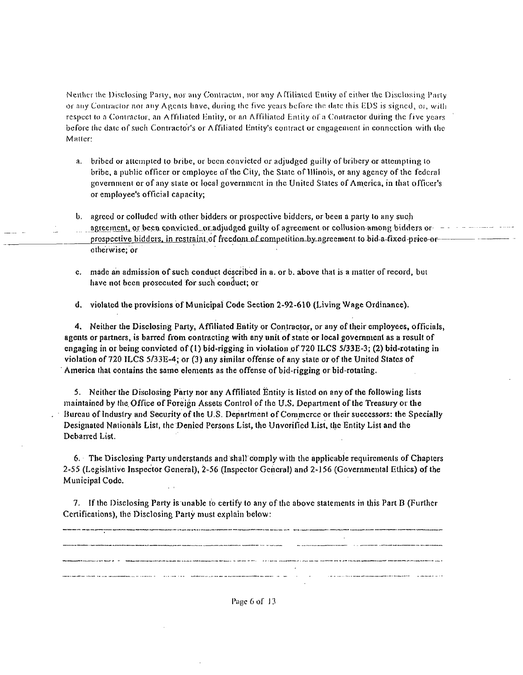Neither the Disclosing Party, nor any Contractor, nor any Affiliated Entity of either the Disclosing Party or any Contractor nor any Agents have, during the five years before the date this EDS is signed, or, with respect to a Contractor, an Affiliated Entity, or an Affiliated Entity of a Contractor during the five years before the date of such Contractor's or Affiliated Entity's contract or engagement in connection with the Matter:

- a. bribed or attempted to bribe, or been convicted or adjudged guilty of bribery or attempting to bribe, a public officer or employee of the City, the State of Illinois, or any agency of the federal government or of any state or local government in the United States of America, in that officer's or employee's official capacity;
- b. agreed or colluded with other bidders or prospective bidders, or been a party to any such prospective bidders, in restraint of freedom of competition by agreement to bid a fixed price or otherwise: or
- c. made an admission of such conduct described in a, or b, above that is a matter of record, but have not been prosecuted for such conduct; or
- d. violated the provisions of Municipal Code Section 2-92-610 (Living Wage Ordinance).

4. Neither the Disclosing Party, Affiliated Entity or Contractor, or any of their employees, officials, agents or partners, is barred from contracting with any unit of state or local government as a result of engaging in or being convicted of (1) bid-rigging in violation of 720 ILCS  $5/33E-3$ ; (2) bid-rotating in violation of 720 ILCS 5/33E-4; or (3) any similar offense of any state or of the United States of America that contains the same elements as the offense of bid-rigging or bid-rotating.

5. Neither the Disclosing Party nor any Affiliated Entity is listed on any of the following lists maintained by the Office of Foreign Assets Control of the U.S. Department of the Treasury or the Bureau of Industry and Security of the U.S. Department of Commerce or their successors: the Specially Designated Nationals List, the Denied Persons List, the Unverified List, the Entity List and the Debarred List.

6. The Disclosing Party understands and shall comply with the applicable requirements of Chapters 2-55 (Legislative Inspector General), 2-56 (Inspector General) and 2-156 (Governmental Ethics) of the Municipal Code.

7. If the Disclosing Party is unable to certify to any of the above statements in this Part B (Further Certifications), the Disclosing Party must explain below:



Page 6 of 13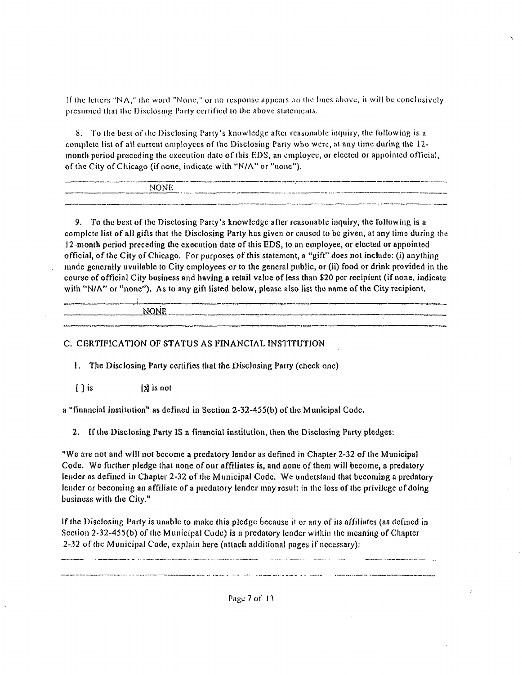If the letters "NA," the word "None," or no response appears on the lines above, it will be conclusively presumed that the Disclosing Party certified to the above statements.

8. To the best of the Disclosing Party's knowledge after reasonable inquiry, the following is a complete list of all current employees of the Disclosing Party who were, at any time during the 12month period preceding the execution date of this EDS, an employee, or elected or appointed official, of the City of Chicago (if none, indicate with "N/A" or "none").

| which comment is a part of the company and contracts are as to comment and company in a company | as any of the left left left in the United States and any open the system is a group of any of this discussions of the special contract of the state of the state of the state of the state of the state of the state of the s |
|-------------------------------------------------------------------------------------------------|--------------------------------------------------------------------------------------------------------------------------------------------------------------------------------------------------------------------------------|
| <b>NONE</b>                                                                                     |                                                                                                                                                                                                                                |
| the contract community and contract<br>-----<br>__________                                      | The distance and access the second control between a state of the completence of the state of the control and and and the state which we are sented the control of the complete states of the complete states of the control o |
|                                                                                                 |                                                                                                                                                                                                                                |
|                                                                                                 |                                                                                                                                                                                                                                |

9. To the best of the Disclosing Party's knowledge after reasonable inquiry, the following is a complete list of all gifts that the Disclosing Party has given or caused to be given, at any time during the 12-month period preceding the execution date of this EDS, to an employee, or elected or appointed official, of the City of Chicago. For purposes of this statement, a "gift" does not include: (i) anything made generally available to City employees or to the general public, or (ii) food or drink provided in the course of official City business and having a retail value of less than \$20 per recipient (if none, indicate with "N/A" or "none"). As to any gift listed below, please also list the name of the City recipient,

NONE

### C. CERTIFICATION OF STATUS AS FINANCIAL INSTITUTION

1. The Disclosing Party certifies that the Disclosing Party (check one)

 $\lceil \cdot \rceil$  is [X is not

a "financial institution" as defined in Section 2-32-455(b) of the Municipal Code.

2. If the Disclosing Party IS a financial institution, then the Disclosing Party pledges:

"We are not and will not become a predatory lender as defined in Chapter 2-32 of the Municipal Code. We further pledge that none of our affiliates is, and none of them will become, a predatory lender as defined in Chapter 2-32 of the Municipal Code. We understand that becoming a predatory lender or becoming an affiliate of a predatory lender may result in the loss of the privilege of doing business with the City."

If the Disclosing Party is unable to make this pledge because it or any of its affiliates (as defined in Section 2-32-455(b) of the Municipal Code) is a predatory lender within the meaning of Chapter 2-32 of the Municipal Code, explain here (attach additional pages if necessary):

Page 7 of 13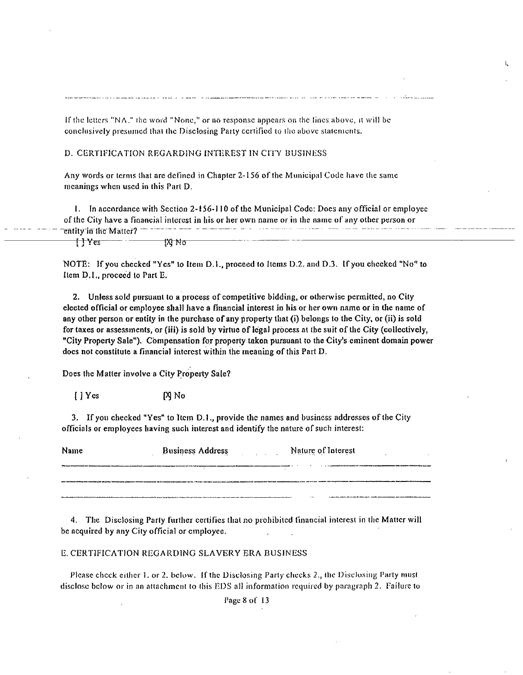If the letters "NA," the word "None," or no response appears on the lines above, it will be conclusively presumed that the Disclosing Party certified to the above statements.

#### D. CERTIFICATION REGARDING INTEREST IN CITY BUSINESS

Any words or terms that are defined in Chapter 2-156 of the Municipal Code have the same meanings when used in this Part D.

1. In accordance with Section 2-156-110 of the Municipal Code: Does any official or employee of the City have a financial interest in his or her own name or in the name of any other person or entity in the Matter? ††Yes 1XI No

NOTE: If you checked "Yes" to Item D.1., proceed to Items D.2. and D.3. If you checked "No" to Item D.I., proceed to Part E.

2. Unless sold pursuant to a process of competitive bidding, or otherwise permitted, no City elected official or employee shall have a financial interest in his or her own name or in the name of any other person or entity in the purchase of any property that (i) belongs to the City, or (ii) is sold for taxes or assessments, or (iii) is sold by virtue of legal process at the suit of the City (collectively, "City Property Sale"). Compensation for property taken pursuant to the City's eminent domain power does not constitute a financial interest within the meaning of this Part D.

Does the Matter involve a City Property Sale?

 $[$  |  $Ycs$  $N$  No

3. If you checked "Yes" to Item D.1., provide the names and business addresses of the City officials or employees having such interest and identify the nature of such interest:

| Name | <b>Business Address</b> | Nature of Interest |
|------|-------------------------|--------------------|
|      |                         |                    |
|      |                         |                    |
|      |                         |                    |

4. The Disclosing Party further certifies that no prohibited financial interest in the Matter will be acquired by any City official or employee.

#### E. CERTIFICATION REGARDING SLAVERY ERA BUSINESS

Please check either 1. or 2. below. If the Disclosing Party checks 2., the Disclosing Party must disclose below or in an attachment to this EDS all information required by paragraph 2. Failure to

Page 8 of 13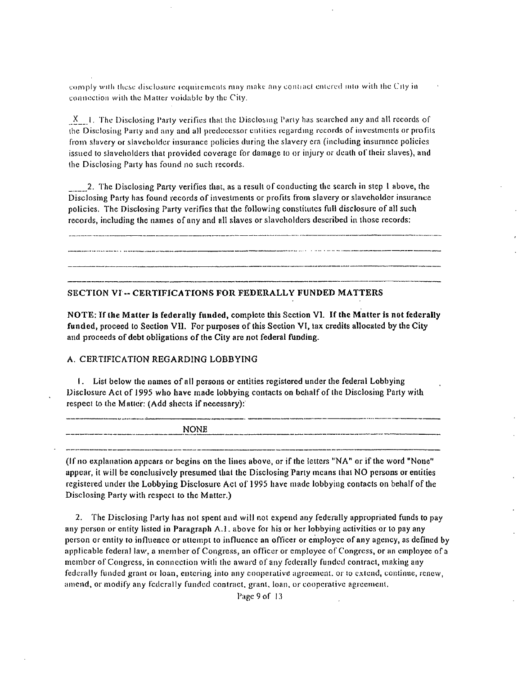comply with these disclosure requirements may make any contract entered into with the City in connection with the Matter voidable by the City.

 $X = 1$ . The Disclosing Party verifies that the Disclosing Party has searched any and all records of the Disclosing Party and any and all predecessor entities regarding records of investments or profits from slavery or slaveholder insurance policies during the slavery era (including insurance policies issued to slaveholders that provided coverage for damage to or injury or death of their slaves), and the Disclosing Party has found no such records.

2. The Disclosing Party verifies that, as a result of conducting the search in step 1 above, the Disclosing Party has found records of investments or profits from slavery or slaveholder insurance policies. The Disclosing Party verifies that the following constitutes full disclosure of all such records, including the names of any and all slaves or slaveholders described in those records:

SECTION VI -- CERTIFICATIONS FOR FEDERALLY FUNDED MATTERS

NOTE: If the Matter is federally funded, complete this Section Vl. If the Matter is not federally funded, proceed to Section VII. For purposes of this Section VI, tax credits allocated by the City and proceeds of debt obligations of the City are not federal funding.

### A. CERTIFICATION REGARDING LOBBYING

1. List below the names of all persons or entities registered under the federal Lobbying Disclosure Act of 1995 who have made lobbying contacts on behalf of the Disclosing Party with respect to the Matter: (Add sheets if necessary):

**NONE** 

(If no explanation appears or begins on the lines above, or if the letters "NA" or if the word "None" appear, it will be conclusively presumed that the Disclosing Party means that NO persons or entities registered under the Lobbying Disclosure Act of 1995 have made lobbying contacts on behalf of the Disclosing Party with respect to the Matter.)

2. The Disclosing Party has not spent and will not expend any federally appropriated funds to pay any person or entity listed in Paragraph A.1, above for his or her lobbying activities or to pay any person or entity to influence or attempt to influence an officer or employee of any agency, as defined by applicable federal law, a member of Congress, an officer or employee of Congress, or an employee of a member of Congress, in connection with the award of any federally funded contract, making any federally funded grant or loan, entering into any cooperative agreement, or to extend, continue, renew, amend, or modify any federally funded contract, grant, loan, or cooperative agreement.

Page 9 of 13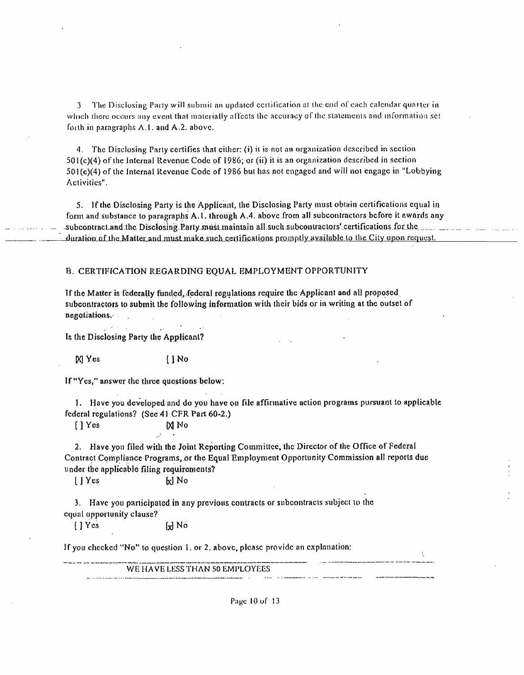3 The Disclosing Party will submit an updated certification at the end of each calendar quarter in which there occurs any event that moterially affects the accuracy of the statements and information set foith in paragraphs  $A.1$ . and  $A.2$ . above.

4. The Disclosing Parly certifies that cither: (i) it is not an organization described in scclion 501(c)(4) ofthc Internal Revenue Code of 1986; or (ii) it is an organization described in section 501 (c)(4) of Ihe internal Revenue Code of 1986 but has not engaged and will not engage in "Lobbying Activities".

5. If the Disclosing Party is the Applicant, the Disclosing Party must obtain certifications equal in form and substance to paragraphs A.1. through A.4. above from all subcontractors before it awards any -subcontract and the Disclosing Party must maintain all such subcontractors' certifications for the  $\ldots$  .  $\ldots$  .  $\ldots$ duration of the Matter and must make such certifications promptly available to the City upon request.

#### B. CERTIFICATION REGARDING EQUAL EMPLOYMENT OPPORTUNITY

If the Matter is federally funded, .federal regulations require the Applicant and all proposed subcontractors lo submit the following information wilh their bids or in writing at the outset of negotiations.

Is (he Disclosing Party the Applicani?

M Yes [ 1 No

If "Yes," answer the three questions below:

1. Have you developed and do you have on file affirmative action programs pursuanl lo applicable federal regulations? (See 41 CFR Part 60-2.)

[ ] Yes M No

2. Have you filed with the Joint Reporting Committee, the Director of the Office of Federal Contract Compliance Programs, or the Equal Employment Opportunity Commission all reports due under the applicable filing requirements?

I Yes bd No

3. Have you participated in any previous contracts or subcontracts subject to the equal opportunity clause?

 $\begin{bmatrix} 1 & \text{Yes} \\ \end{bmatrix}$  No

If you checked "No" to question 1. or 2. above, please provide an explanation:

WE HAVE LESS THAN 50 EMPLOYEES

Page 10 of 13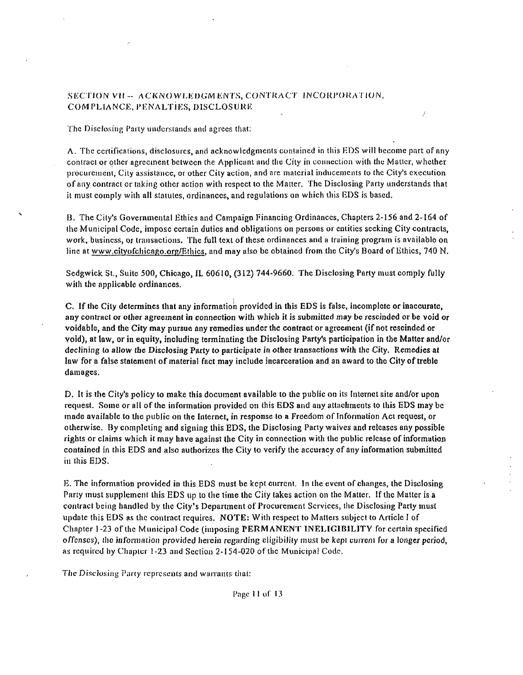### SECTION VII -- ACKNOWLEDGMENTS, CONTRACT INCORPORATION, COMPLIANCE, PENALTIES, DISCLOSURE

The Disclosing Party understands and agrees that:

A. The certifications, disclosures, and acknowledgments contained in this EDS will become part of any contract or other agreement between the Applicant and the Cily in connection with the Matter, whether procurement, Cily assistance, or olher Cily action, and are material inducements to the City's execution of any contract or taking other action with respect to the Matter. The Disclosing Party understands that it must comply with all statutes, ordinances, and regulations on which this EDS is based.

B. The City's Governmental Ethics and Campaign Financing Ordinances, Chapters 2-156 and 2-164 of the Municipal Code, impose certain duties and obligations on persons or entities seeking City contracts, work, business, or transactions. The full text of these ordinances and a training program is available on line at www.cityofchicago.org/Ethics, and may also be obtained from the City's Board of Ethics, 740 N.

Sedgwick St., Suite 500, Chicago. IL 60610, (312) 744-9660. The Disclosing Parly must comply fully with the applicable ordinances.

C. If the City determines that any information provided in this EDS is false, incomplete or inaccurate, any contract or olher agreement in connection with which it is submitted may be rescinded or be void or voidable, and the City may pursue any remedies under the contract or agreement (if not rescinded or void), at law, or in equity, including terminating the Disclosing Party's participafion in the Matter and/or declining to allow the Disclosing Party to participate in other transactions with the City. Remedies at law for a false stalcmcni of material fact may include incarceration and an award to the City of treble damages.

D. It is the City's policy to make this document available to the public on ils Internet site and/or upon request. Some or all of the information provided on this EDS and any attachments to this EDS may be made available lo llie public on the Internet, in response lo a Freedom of Informalion Act request, or otherwise. By completing and signing this EDS, the Disclosing Party waives and releases any possible rights or claims which it may have against the City in connection with the public release of information contained in this EDS and also authorizes the City to verify the accuracy of any information submitted in this EDS.

E. The information provided in this EDS must be kept current. In the evenl of changes, ihe Disclosing Party must supplement this EDS up to the time the City takes action on the Matter. If the Matter is a contract being handled by the City's Department of Procurement Services, the Disclosing Party musl update this EDS as the conlracl requires. NOTE: With respect to Matters subject to Article I of Chapter 1-23 ofthc Municipal Code (imposing PERMANENT INELIGIBILITY for certain specified offenses), the information provided herein regarding eligibility must be kepi current for a longer period, as required by Chapter 1-23 and Section 2-154-020 of the Municipal Code,

The Disclosing Party represents and warrants that: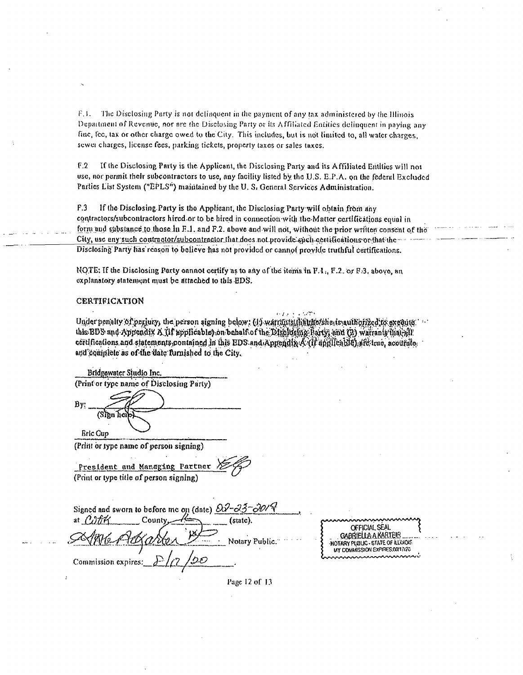F.1. The Disclosing Party is not delinquent in the payment of any tax administered by the Illinois Department of Revenue, nor are the Disclosing Party or its Affiliated Entities delinquent in paying any fine, fee, tax or other charge owed to the City. This includes, but is not limited to, all water charges. sewer charges, license fees, parking tickets, property taxes or sales taxes.

 $F.2$ If the Disclosing Party is the Applicant, the Disclosing Party and its Affiliated Entities will not use, nor permit their subcontractors to use, any facility listed by the U.S. E.P.A. on the federal Excluded Parties List System ("EPLS") maintained by the U.S. General Services Administration.

 $F.3$ If the Disclosing Party is the Applicant, the Disclosing Party will obtain from any contractors/subcontractors hired or to be hired in connection with the Matter certifications equal in form and substance to those in F.1, and F.2, above and will not, without the prior written consent of the City, use any such contractor/subcontractor that does not provide such certifications or that the-Disclosing Party has reason to believe has not provided or cannot provide truthful certifications.

NOTE. If the Disclosing Party cannot certify as to any of the items in F.1., F.2. or F.3, above, an explanatory statement must be attached to this EDS.

#### **CERTIFICATION**

Under penalty of perjury, the person signing below: (1) warnings (haldfoldiesissauthorized to execute this BDS and Appendix A (if applicable) on behalf of the Disclosing Barty; and (2) warrants that all certifications and statements contained in this EDS and Appendix A (If applicable) aft true, accurate and complete as of the date furnished to the City.

Bridgewater Studio Inc. (Print or type name of Disclosing Party) By: (Sign hei **Bric Cup** 

(Print or type name of person signing)

President and Managing Partner (Print or type title of person signing)

| Signed and sworn to before me on (date) $\partial\vartheta$ - $\partial\vartheta$ - $\partial\vartheta$                |                                                                                                                                                             |
|------------------------------------------------------------------------------------------------------------------------|-------------------------------------------------------------------------------------------------------------------------------------------------------------|
| at $\Lambda$ <sup>177</sup><br>County.<br>(statc).<br>ABH Artins<br>Notary Public.<br>Commission expires: $\sqrt{2}$ . | nnnnnnnnnnnnn<br>OFFICIAL SEAL<br>GABRIELLA A KARTEIR.<br>-NOTARY PUBLIC - STATE OF ILLINOIS<br>MY COMMISSION EXPIRES 00/17/20<br><u>'nnnnnnnnnnnnnnnnn</u> |
|                                                                                                                        |                                                                                                                                                             |

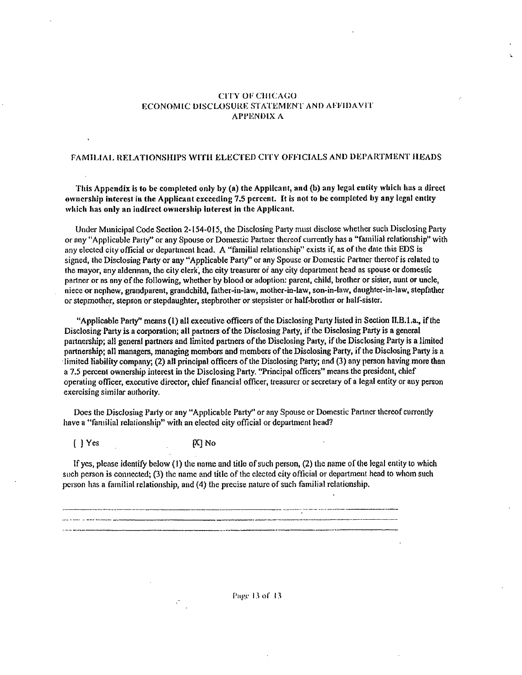#### **CITY OF CHICAGO ECONOMIC DISCLOSURE STATEMENT AND AFFIDAVIT APPENDIX A**

### FAMILIAL RELATIONSHIPS WITH ELECTED CITY OFFICIALS AND DEPARTMENT HEADS

This Appendix is to be completed only by (a) the Applicant, and (b) any legal entity which has a direct ownership interest in the Applicant exceeding 7.5 percent. It is not to be completed by any legal entity which has only an indirect ownership interest in the Applicant.

Under Municipal Code Section 2-154-015, the Disclosing Party must disclose whether such Disclosing Party or any "Applicable Party" or any Spouse or Domestic Partner thereof currently has a "familial relationship" with any elected city official or department head. A "familial relationship" exists if, as of the date this EDS is signed, the Disclosing Party or any "Applicable Party" or any Spouse or Domestic Partner thereof is related to the mayor, any alderman, the city clerk, the city treasurer or any city department head as spouse or domestic partner or as any of the following, whether by blood or adoption: parent, child, brother or sister, aunt or uncle, niece or nephew, grandparent, grandchild, father-in-law, mother-in-law, son-in-law, daughter-in-law, stepfather or stepmother, stepson or stepdaughter, stepbrother or stepsister or half-brother or half-sister.

"Applicable Party" means (1) all executive officers of the Disclosing Party listed in Section II.B.1.a., if the Disclosing Party is a corporation; all partners of the Disclosing Party, if the Disclosing Party is a general partnership; all general partners and limited partners of the Disclosing Party, if the Disclosing Party is a limited partnership; all managers, managing members and members of the Disclosing Party, if the Disclosing Party is a limited liability company; (2) all principal officers of the Disclosing Party; and (3) any person having more than a 7.5 percent ownership interest in the Disclosing Party, "Principal officers" means the president, chief operating officer, executive director, chief financial officer, treasurer or secretary of a legal entity or any person exercising similar authority.

Does the Disclosing Party or any "Applicable Party" or any Spouse or Domestic Partner thereof currently have a "familial relationship" with an elected city official or department head?

 $[$  | Yes  $[X]$  No

If yes, please identify below (1) the name and title of such person,  $(2)$  the name of the legal entity to which such person is connected; (3) the name and title of the elected city official or department head to whom such person has a familial relationship, and (4) the precise nature of such familial relationship.

Page 13 of 13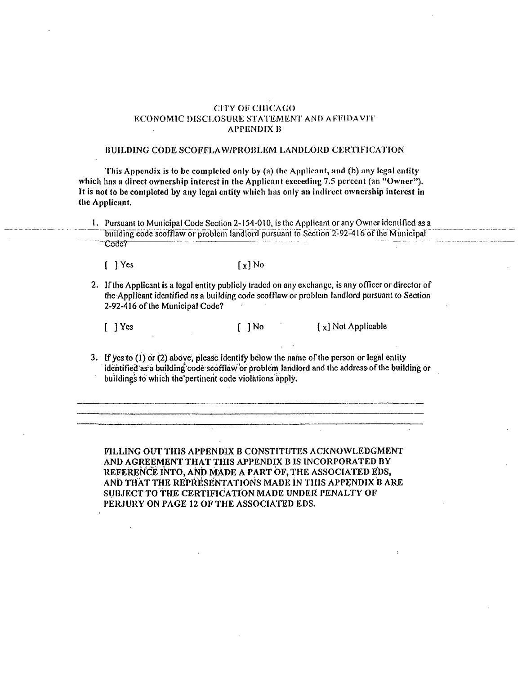#### **CITY OF CHICAGO** ECONOMIC DISCLOSURE STATEMENT AND AFFIDAVIT **APPENDIX B**

#### BUILDING CODE SCOFFLAW/PROBLEM LANDLORD CERTIFICATION

This Appendix is to be completed only by (a) the Applicant, and (b) any legal entity which has a direct ownership interest in the Applicant exceeding 7.5 percent (an "Owner"). It is not to be completed by any legal entity which has only an indirect ownership interest in the Applicant.

1. Pursuant to Municipal Code Section 2-154-010, is the Applicant or any Owner identified as a building code scofflaw or problem landford pursuant to Section 2-92-416 of the Municipal Code?

 $[$  ] Yes

 $\lceil x \rceil$  No

2. If the Applicant is a legal entity publicly traded on any exchange, is any officer or director of the Applicant identified as a building code scofflaw or problem landlord pursuant to Section 2-92-416 of the Municipal Code?

 $\begin{bmatrix} 1 & 1 \end{bmatrix}$  Yes

[ ] No

[x] Not Applicable

3. If yes to (1) or (2) above, please identify below the name of the person or legal entity identified as a building code scofflaw or problem landlord and the address of the building or buildings to which the pertinent code violations apply.

FILLING OUT THIS APPENDIX B CONSTITUTES ACKNOWLEDGMENT AND AGREEMENT THAT THIS APPENDIX B IS INCORPORATED BY REFERENCE INTO, AND MADE A PART OF, THE ASSOCIATED EDS, AND THAT THE REPRESENTATIONS MADE IN THIS APPENDIX B ARE SUBJECT TO THE CERTIFICATION MADE UNDER PENALTY OF PERJURY ON PAGE 12 OF THE ASSOCIATED EDS.